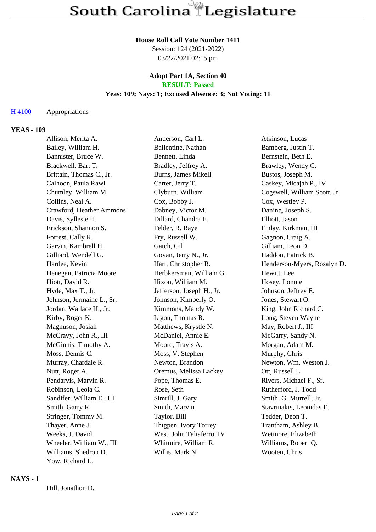### **House Roll Call Vote Number 1411**

Session: 124 (2021-2022) 03/22/2021 02:15 pm

# **Adopt Part 1A, Section 40 RESULT: Passed**

# **Yeas: 109; Nays: 1; Excused Absence: 3; Not Voting: 11**

## H 4100 Appropriations

### **YEAS - 109**

| Allison, Merita A.        | Anderson, Carl L.         | Atkinson, Lucas              |
|---------------------------|---------------------------|------------------------------|
| Bailey, William H.        | Ballentine, Nathan        | Bamberg, Justin T.           |
| Bannister, Bruce W.       | Bennett, Linda            | Bernstein, Beth E.           |
| Blackwell, Bart T.        | Bradley, Jeffrey A.       | Brawley, Wendy C.            |
| Brittain, Thomas C., Jr.  | Burns, James Mikell       | Bustos, Joseph M.            |
| Calhoon, Paula Rawl       | Carter, Jerry T.          | Caskey, Micajah P., IV       |
| Chumley, William M.       | Clyburn, William          | Cogswell, William Scott, Jr. |
| Collins, Neal A.          | Cox, Bobby J.             | Cox, Westley P.              |
| Crawford, Heather Ammons  | Dabney, Victor M.         | Daning, Joseph S.            |
| Davis, Sylleste H.        | Dillard, Chandra E.       | Elliott, Jason               |
| Erickson, Shannon S.      | Felder, R. Raye           | Finlay, Kirkman, III         |
| Forrest, Cally R.         | Fry, Russell W.           | Gagnon, Craig A.             |
| Garvin, Kambrell H.       | Gatch, Gil                | Gilliam, Leon D.             |
| Gilliard, Wendell G.      | Govan, Jerry N., Jr.      | Haddon, Patrick B.           |
| Hardee, Kevin             | Hart, Christopher R.      | Henderson-Myers, Rosalyn D.  |
| Henegan, Patricia Moore   | Herbkersman, William G.   | Hewitt, Lee                  |
| Hiott, David R.           | Hixon, William M.         | Hosey, Lonnie                |
| Hyde, Max T., Jr.         | Jefferson, Joseph H., Jr. | Johnson, Jeffrey E.          |
| Johnson, Jermaine L., Sr. | Johnson, Kimberly O.      | Jones, Stewart O.            |
| Jordan, Wallace H., Jr.   | Kimmons, Mandy W.         | King, John Richard C.        |
| Kirby, Roger K.           | Ligon, Thomas R.          | Long, Steven Wayne           |
| Magnuson, Josiah          | Matthews, Krystle N.      | May, Robert J., III          |
| McCravy, John R., III     | McDaniel, Annie E.        | McGarry, Sandy N.            |
| McGinnis, Timothy A.      | Moore, Travis A.          | Morgan, Adam M.              |
| Moss, Dennis C.           | Moss, V. Stephen          | Murphy, Chris                |
| Murray, Chardale R.       | Newton, Brandon           | Newton, Wm. Weston J.        |
| Nutt, Roger A.            | Oremus, Melissa Lackey    | Ott, Russell L.              |
| Pendarvis, Marvin R.      | Pope, Thomas E.           | Rivers, Michael F., Sr.      |
| Robinson, Leola C.        | Rose, Seth                | Rutherford, J. Todd          |
| Sandifer, William E., III | Simrill, J. Gary          | Smith, G. Murrell, Jr.       |
| Smith, Garry R.           | Smith, Marvin             | Stavrinakis, Leonidas E.     |
| Stringer, Tommy M.        | Taylor, Bill              | Tedder, Deon T.              |
| Thayer, Anne J.           | Thigpen, Ivory Torrey     | Trantham, Ashley B.          |
| Weeks, J. David           | West, John Taliaferro, IV | Wetmore, Elizabeth           |
| Wheeler, William W., III  | Whitmire, William R.      | Williams, Robert Q.          |
| Williams, Shedron D.      | Willis, Mark N.           | Wooten, Chris                |
| Yow, Richard L.           |                           |                              |

### **NAYS - 1**

Hill, Jonathon D.